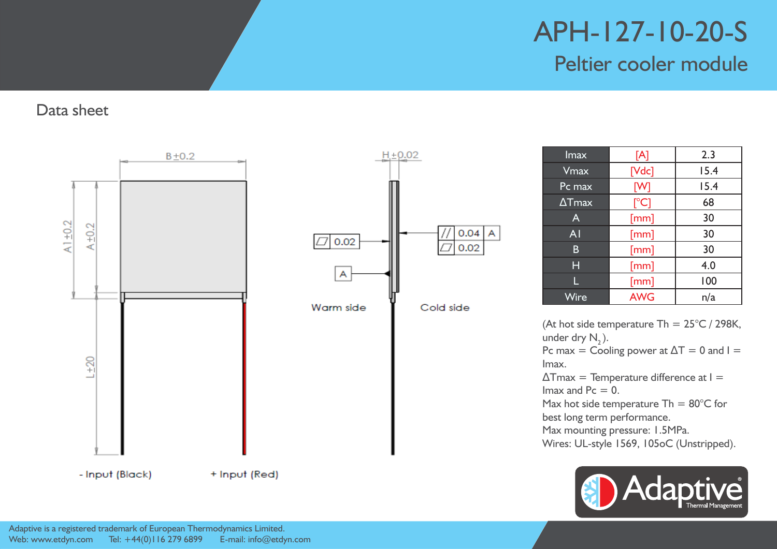Data sheet





| Imax          | [A]           | 2.3  |
|---------------|---------------|------|
| $V$ max       | $[{\sf Vdc}]$ | 15.4 |
| Pc max        | [W]           | 15.4 |
| $\Delta$ Tmax | $[^{\circ}C]$ | 68   |
| $\mathsf{A}$  | [mm]          | 30   |
| AI            | [mm]          | 30   |
| B             | [mm]          | 30   |
| Н             | [mm]          | 4.0  |
|               | [mm]          | 100  |
| Wire          | <b>AWG</b>    | n/a  |

(At hot side temperature Th =  $25^{\circ}$ C / 298K, under dry  $N_{2}$ ). Pc max = Cooling power at  $\Delta T = 0$  and I = Imax.  $\Delta$ Tmax = Temperature difference at  $I =$ Imax and  $Pc = 0$ . Max hot side temperature Th =  $80^{\circ}$ C for best long term performance. Max mounting pressure: 1.5MPa. Wires: UL-style 1569, 105oC (Unstripped).

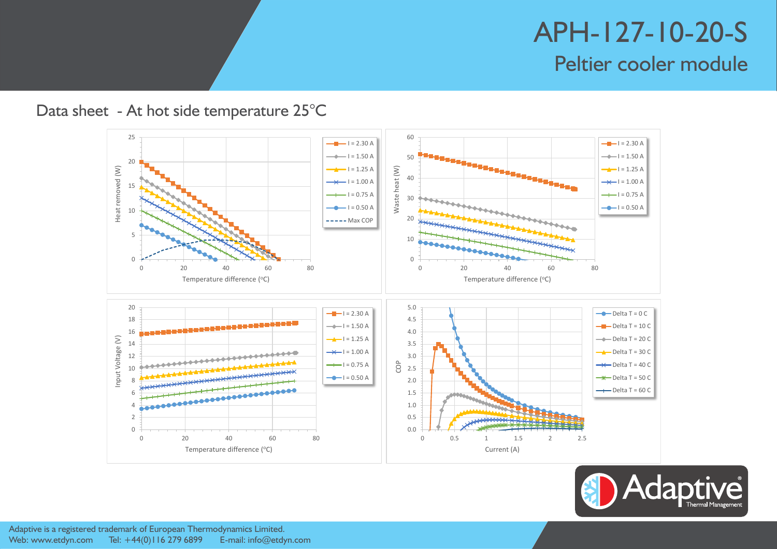#### Data sheet - At hot side temperature 25°C



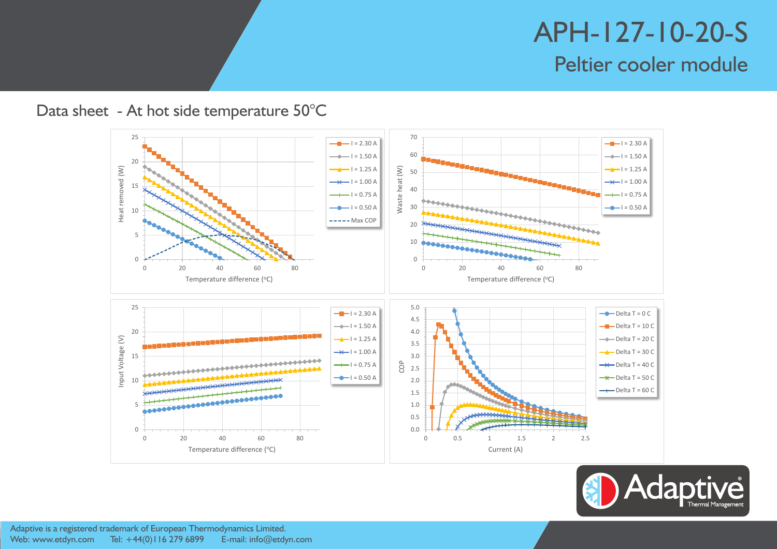#### Data sheet - At hot side temperature 50°C